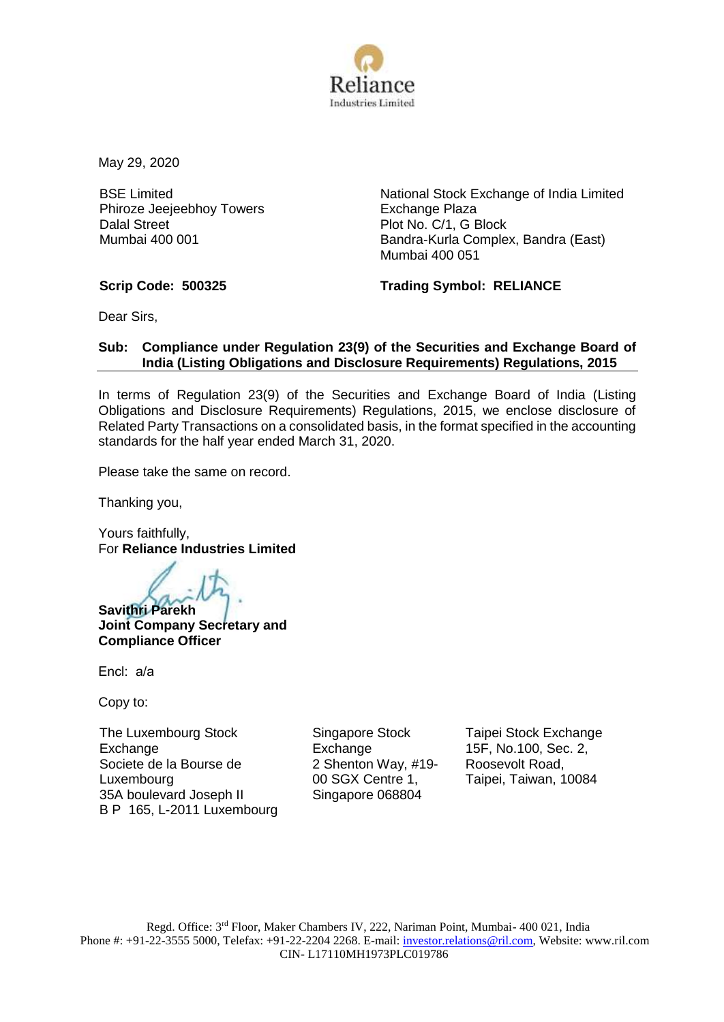

May 29, 2020

BSE Limited Phiroze Jeejeebhoy Towers Dalal Street Mumbai 400 001

National Stock Exchange of India Limited Exchange Plaza Plot No. C/1, G Block Bandra-Kurla Complex, Bandra (East) Mumbai 400 051

**Scrip Code: 500325 Trading Symbol: RELIANCE**

Dear Sirs,

# **Sub: Compliance under Regulation 23(9) of the Securities and Exchange Board of India (Listing Obligations and Disclosure Requirements) Regulations, 2015**

In terms of Regulation 23(9) of the Securities and Exchange Board of India (Listing Obligations and Disclosure Requirements) Regulations, 2015, we enclose disclosure of Related Party Transactions on a consolidated basis, in the format specified in the accounting standards for the half year ended March 31, 2020.

Please take the same on record.

Thanking you,

Yours faithfully, For **Reliance Industries Limited**

**Savithri Parekh Joint Company Secretary and Compliance Officer**

Encl: a/a

Copy to:

The Luxembourg Stock Exchange Societe de la Bourse de Luxembourg 35A boulevard Joseph II B P 165, L-2011 Luxembourg Singapore Stock Exchange 2 Shenton Way, #19- 00 SGX Centre 1, Singapore 068804

Taipei Stock Exchange 15F, No.100, Sec. 2, Roosevolt Road, Taipei, Taiwan, 10084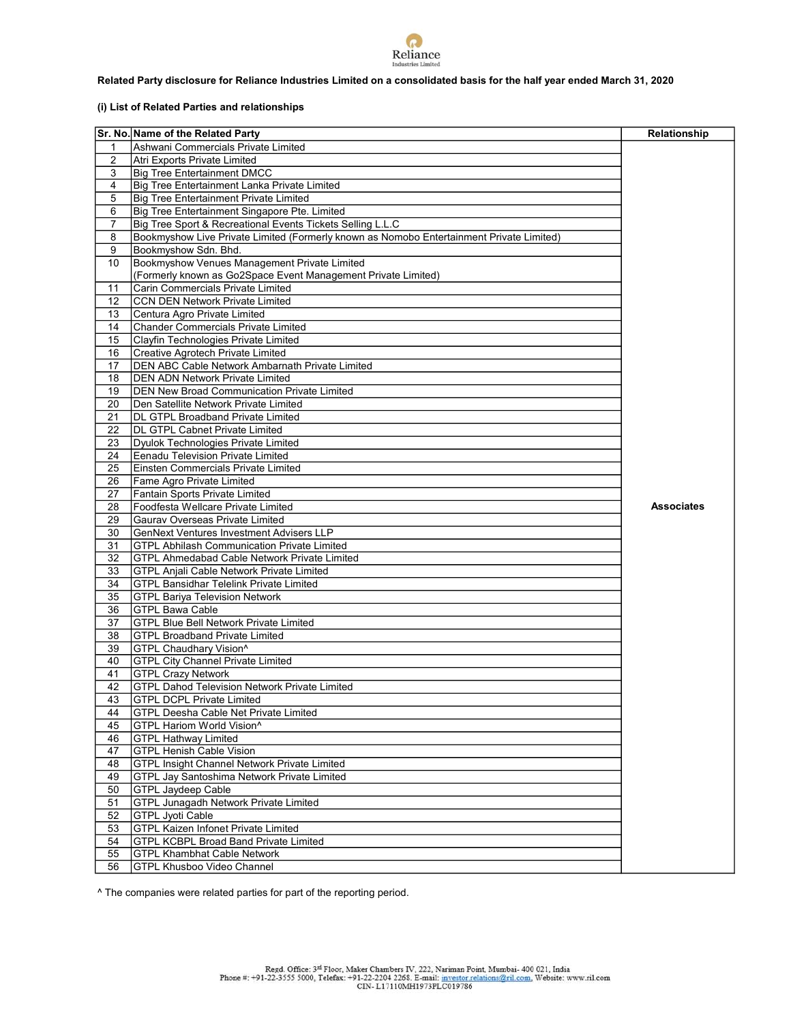

### Related Party disclosure for Reliance Industries Limited on a consolidated basis for the half year ended March 31, 2020

## (i) List of Related Parties and relationships

|         | Sr. No. Name of the Related Party                                                                  | Relationship      |
|---------|----------------------------------------------------------------------------------------------------|-------------------|
| 1       | Ashwani Commercials Private Limited                                                                |                   |
| 2       | Atri Exports Private Limited                                                                       |                   |
| 3       | <b>Big Tree Entertainment DMCC</b>                                                                 |                   |
| 4       | Big Tree Entertainment Lanka Private Limited                                                       |                   |
| 5       |                                                                                                    |                   |
|         | <b>Big Tree Entertainment Private Limited</b>                                                      |                   |
| 6       | Big Tree Entertainment Singapore Pte. Limited                                                      |                   |
| 7       | Big Tree Sport & Recreational Events Tickets Selling L.L.C                                         |                   |
| 8       | Bookmyshow Live Private Limited (Formerly known as Nomobo Entertainment Private Limited)           |                   |
| 9<br>10 | Bookmyshow Sdn. Bhd.<br>Bookmyshow Venues Management Private Limited                               |                   |
|         |                                                                                                    |                   |
| 11      | (Formerly known as Go2Space Event Management Private Limited)<br>Carin Commercials Private Limited |                   |
| 12      | <b>CCN DEN Network Private Limited</b>                                                             |                   |
| 13      | Centura Agro Private Limited                                                                       |                   |
| 14      | <b>Chander Commercials Private Limited</b>                                                         |                   |
| 15      | Clayfin Technologies Private Limited                                                               |                   |
| 16      | Creative Agrotech Private Limited                                                                  |                   |
| 17      | DEN ABC Cable Network Ambarnath Private Limited                                                    |                   |
| 18      | <b>DEN ADN Network Private Limited</b>                                                             |                   |
| 19      | <b>DEN New Broad Communication Private Limited</b>                                                 |                   |
| 20      | Den Satellite Network Private Limited                                                              |                   |
| 21      | DL GTPL Broadband Private Limited                                                                  |                   |
| 22      | <b>DL GTPL Cabnet Private Limited</b>                                                              |                   |
| 23      | Dyulok Technologies Private Limited                                                                |                   |
| 24      | <b>Eenadu Television Private Limited</b>                                                           |                   |
| 25      | Einsten Commercials Private Limited                                                                |                   |
| 26      | Fame Agro Private Limited                                                                          |                   |
| 27      | Fantain Sports Private Limited                                                                     |                   |
| 28      | Foodfesta Wellcare Private Limited                                                                 | <b>Associates</b> |
| 29      | Gaurav Overseas Private Limited                                                                    |                   |
| 30      | <b>GenNext Ventures Investment Advisers LLP</b>                                                    |                   |
| 31      | <b>GTPL Abhilash Communication Private Limited</b>                                                 |                   |
| 32      | GTPL Ahmedabad Cable Network Private Limited                                                       |                   |
| 33      | <b>GTPL Anjali Cable Network Private Limited</b>                                                   |                   |
| 34      | <b>GTPL Bansidhar Telelink Private Limited</b>                                                     |                   |
| 35      | <b>GTPL Bariya Television Network</b>                                                              |                   |
| 36      | <b>GTPL Bawa Cable</b>                                                                             |                   |
| 37      | <b>GTPL Blue Bell Network Private Limited</b>                                                      |                   |
| 38      | <b>GTPL Broadband Private Limited</b>                                                              |                   |
| 39      | GTPL Chaudhary Vision^                                                                             |                   |
| 40      | <b>GTPL City Channel Private Limited</b>                                                           |                   |
| 41      | <b>GTPL Crazy Network</b>                                                                          |                   |
| 42      | <b>GTPL Dahod Television Network Private Limited</b>                                               |                   |
| 43      | <b>GTPL DCPL Private Limited</b>                                                                   |                   |
| 44      | GTPL Deesha Cable Net Private Limited                                                              |                   |
| 45      | GTPL Hariom World Vision^                                                                          |                   |
| 46      | <b>GTPL Hathway Limited</b>                                                                        |                   |
| 47      | <b>GTPL Henish Cable Vision</b>                                                                    |                   |
| 48      | <b>GTPL Insight Channel Network Private Limited</b>                                                |                   |
| 49      | GTPL Jay Santoshima Network Private Limited                                                        |                   |
| 50      | <b>GTPL Jaydeep Cable</b>                                                                          |                   |
| 51      | <b>GTPL Junagadh Network Private Limited</b>                                                       |                   |
| 52      | <b>GTPL Jyoti Cable</b>                                                                            |                   |
| 53      | <b>GTPL Kaizen Infonet Private Limited</b>                                                         |                   |
| 54      | GTPL KCBPL Broad Band Private Limited                                                              |                   |
| 55      | <b>GTPL Khambhat Cable Network</b>                                                                 |                   |
| 56      | GTPL Khusboo Video Channel                                                                         |                   |

^ The companies were related parties for part of the reporting period.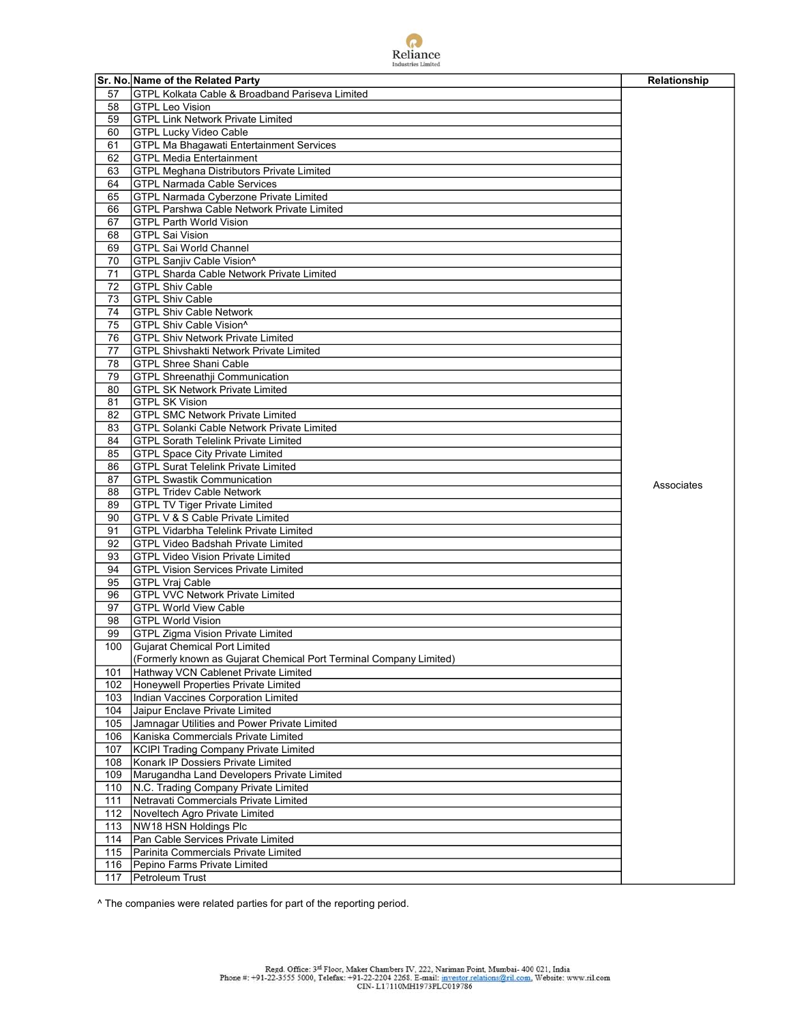

|          | Sr. No. Name of the Related Party                                                   |              |
|----------|-------------------------------------------------------------------------------------|--------------|
|          |                                                                                     | Relationship |
| 57<br>58 | GTPL Kolkata Cable & Broadband Pariseva Limited<br><b>GTPL Leo Vision</b>           |              |
|          |                                                                                     |              |
| 59       | <b>GTPL Link Network Private Limited</b>                                            |              |
| 60       | <b>GTPL Lucky Video Cable</b>                                                       |              |
| 61<br>62 | <b>GTPL Ma Bhagawati Entertainment Services</b><br><b>GTPL Media Entertainment</b>  |              |
|          |                                                                                     |              |
| 63       | GTPL Meghana Distributors Private Limited                                           |              |
| 64<br>65 | <b>GTPL Narmada Cable Services</b><br><b>GTPL Narmada Cyberzone Private Limited</b> |              |
|          | <b>GTPL Parshwa Cable Network Private Limited</b>                                   |              |
| 66<br>67 | <b>GTPL Parth World Vision</b>                                                      |              |
| 68       | <b>GTPL Sai Vision</b>                                                              |              |
| 69       | <b>GTPL Sai World Channel</b>                                                       |              |
| 70       | GTPL Sanjiv Cable Vision^                                                           |              |
| 71       | <b>GTPL Sharda Cable Network Private Limited</b>                                    |              |
| 72       | <b>GTPL Shiv Cable</b>                                                              |              |
| 73       | <b>GTPL Shiv Cable</b>                                                              |              |
| 74       | <b>GTPL Shiv Cable Network</b>                                                      |              |
| 75       | GTPL Shiv Cable Vision^                                                             |              |
| 76       | <b>GTPL Shiv Network Private Limited</b>                                            |              |
| 77       | <b>GTPL Shivshakti Network Private Limited</b>                                      |              |
| 78       | <b>GTPL Shree Shani Cable</b>                                                       |              |
| 79       | <b>GTPL Shreenathji Communication</b>                                               |              |
| 80       | <b>GTPL SK Network Private Limited</b>                                              |              |
| 81       | <b>GTPL SK Vision</b>                                                               |              |
| 82       | <b>GTPL SMC Network Private Limited</b>                                             |              |
| 83       | <b>GTPL Solanki Cable Network Private Limited</b>                                   |              |
| 84       | <b>GTPL Sorath Telelink Private Limited</b>                                         |              |
| 85       | <b>GTPL Space City Private Limited</b>                                              |              |
| 86       | <b>GTPL Surat Telelink Private Limited</b>                                          |              |
| 87       | <b>GTPL Swastik Communication</b>                                                   |              |
| 88       | <b>GTPL Tridev Cable Network</b>                                                    | Associates   |
| 89       | <b>GTPL TV Tiger Private Limited</b>                                                |              |
| 90       | GTPL V & S Cable Private Limited                                                    |              |
| 91       | <b>GTPL Vidarbha Telelink Private Limited</b>                                       |              |
| 92       | <b>GTPL Video Badshah Private Limited</b>                                           |              |
| 93       | <b>GTPL Video Vision Private Limited</b>                                            |              |
| 94       | <b>GTPL Vision Services Private Limited</b>                                         |              |
| 95       | <b>GTPL Vraj Cable</b>                                                              |              |
| 96       | <b>GTPL VVC Network Private Limited</b>                                             |              |
| 97       | <b>GTPL World View Cable</b>                                                        |              |
| 98       | <b>GTPL World Vision</b>                                                            |              |
| 99       | <b>GTPL Zigma Vision Private Limited</b>                                            |              |
| 100      | <b>Gujarat Chemical Port Limited</b>                                                |              |
|          | (Formerly known as Gujarat Chemical Port Terminal Company Limited)                  |              |
| 101      | Hathway VCN Cablenet Private Limited                                                |              |
| 102      | Honeywell Properties Private Limited                                                |              |
| 103      | Indian Vaccines Corporation Limited                                                 |              |
| 104      | Jaipur Enclave Private Limited                                                      |              |
| 105      | Jamnagar Utilities and Power Private Limited                                        |              |
| 106      | Kaniska Commercials Private Limited                                                 |              |
| 107      | <b>KCIPI Trading Company Private Limited</b>                                        |              |
| 108      | Konark IP Dossiers Private Limited                                                  |              |
| 109      | Marugandha Land Developers Private Limited                                          |              |
| 110      | N.C. Trading Company Private Limited                                                |              |
| 111      | Netravati Commercials Private Limited                                               |              |
| 112      | Noveltech Agro Private Limited                                                      |              |
| 113      | NW18 HSN Holdings Plc                                                               |              |
| 114      | Pan Cable Services Private Limited                                                  |              |
| 115      | Parinita Commercials Private Limited                                                |              |
| 116      | Pepino Farms Private Limited                                                        |              |
| 117      | Petroleum Trust                                                                     |              |
|          |                                                                                     |              |

^ The companies were related parties for part of the reporting period.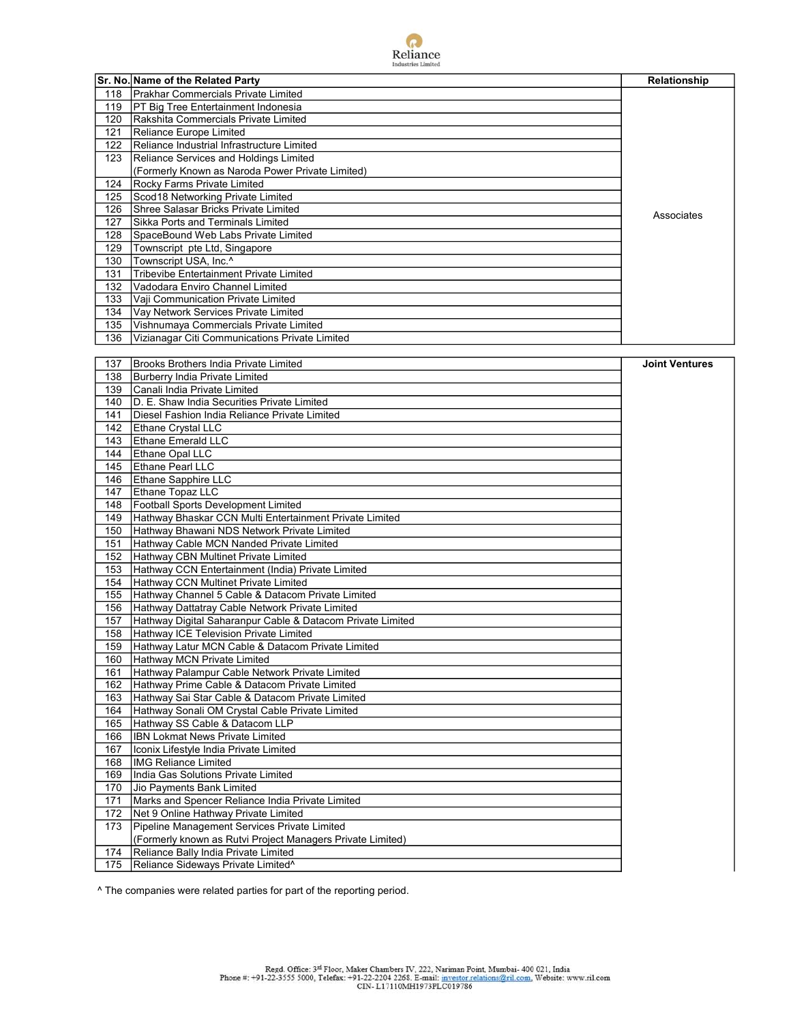

|     | Sr. No. Name of the Related Party                | Relationship |
|-----|--------------------------------------------------|--------------|
| 118 | <b>Prakhar Commercials Private Limited</b>       |              |
| 119 | PT Big Tree Entertainment Indonesia              |              |
| 120 | Rakshita Commercials Private Limited             |              |
| 121 | Reliance Europe Limited                          |              |
| 122 | Reliance Industrial Infrastructure Limited       |              |
| 123 | Reliance Services and Holdings Limited           |              |
|     | (Formerly Known as Naroda Power Private Limited) |              |
| 124 | Rocky Farms Private Limited                      |              |
| 125 | Scod18 Networking Private Limited                |              |
| 126 | Shree Salasar Bricks Private Limited             | Associates   |
| 127 | Sikka Ports and Terminals Limited                |              |
| 128 | SpaceBound Web Labs Private Limited              |              |
| 129 | Townscript pte Ltd, Singapore                    |              |
| 130 | Townscript USA, Inc.^                            |              |
| 131 | Tribevibe Entertainment Private Limited          |              |
| 132 | Vadodara Enviro Channel Limited                  |              |
| 133 | Vaji Communication Private Limited               |              |
| 134 | Vay Network Services Private Limited             |              |
| 135 | Vishnumaya Commercials Private Limited           |              |
| 136 | Vizianagar Citi Communications Private Limited   |              |

| 137 | Brooks Brothers India Private Limited                      | <b>Joint Ventures</b> |
|-----|------------------------------------------------------------|-----------------------|
| 138 | Burberry India Private Limited                             |                       |
| 139 | Canali India Private Limited                               |                       |
| 140 | D. E. Shaw India Securities Private Limited                |                       |
| 141 | Diesel Fashion India Reliance Private Limited              |                       |
|     | 142 Ethane Crystal LLC                                     |                       |
| 143 | <b>Ethane Emerald LLC</b>                                  |                       |
|     | 144 Ethane Opal LLC                                        |                       |
| 145 | <b>Ethane Pearl LLC</b>                                    |                       |
|     | 146 Ethane Sapphire LLC                                    |                       |
| 147 | Ethane Topaz LLC                                           |                       |
| 148 | <b>Football Sports Development Limited</b>                 |                       |
| 149 | Hathway Bhaskar CCN Multi Entertainment Private Limited    |                       |
| 150 | Hathway Bhawani NDS Network Private Limited                |                       |
| 151 | Hathway Cable MCN Nanded Private Limited                   |                       |
|     | 152 Hathway CBN Multinet Private Limited                   |                       |
| 153 | Hathway CCN Entertainment (India) Private Limited          |                       |
| 154 | Hathway CCN Multinet Private Limited                       |                       |
| 155 | Hathway Channel 5 Cable & Datacom Private Limited          |                       |
| 156 | Hathway Dattatray Cable Network Private Limited            |                       |
| 157 | Hathway Digital Saharanpur Cable & Datacom Private Limited |                       |
| 158 | Hathway ICE Television Private Limited                     |                       |
| 159 | Hathway Latur MCN Cable & Datacom Private Limited          |                       |
| 160 | Hathway MCN Private Limited                                |                       |
| 161 | Hathway Palampur Cable Network Private Limited             |                       |
| 162 | Hathway Prime Cable & Datacom Private Limited              |                       |
| 163 | Hathway Sai Star Cable & Datacom Private Limited           |                       |
| 164 | Hathway Sonali OM Crystal Cable Private Limited            |                       |
| 165 | Hathway SS Cable & Datacom LLP                             |                       |
| 166 | <b>IBN Lokmat News Private Limited</b>                     |                       |
| 167 | Iconix Lifestyle India Private Limited                     |                       |
| 168 | <b>IMG Reliance Limited</b>                                |                       |
| 169 | India Gas Solutions Private Limited                        |                       |
| 170 | Jio Payments Bank Limited                                  |                       |
| 171 | Marks and Spencer Reliance India Private Limited           |                       |
| 172 | Net 9 Online Hathway Private Limited                       |                       |
| 173 | Pipeline Management Services Private Limited               |                       |
|     | (Formerly known as Rutvi Project Managers Private Limited) |                       |
| 174 | Reliance Bally India Private Limited                       |                       |
| 175 | Reliance Sideways Private Limited <sup>^</sup>             |                       |

^ The companies were related parties for part of the reporting period.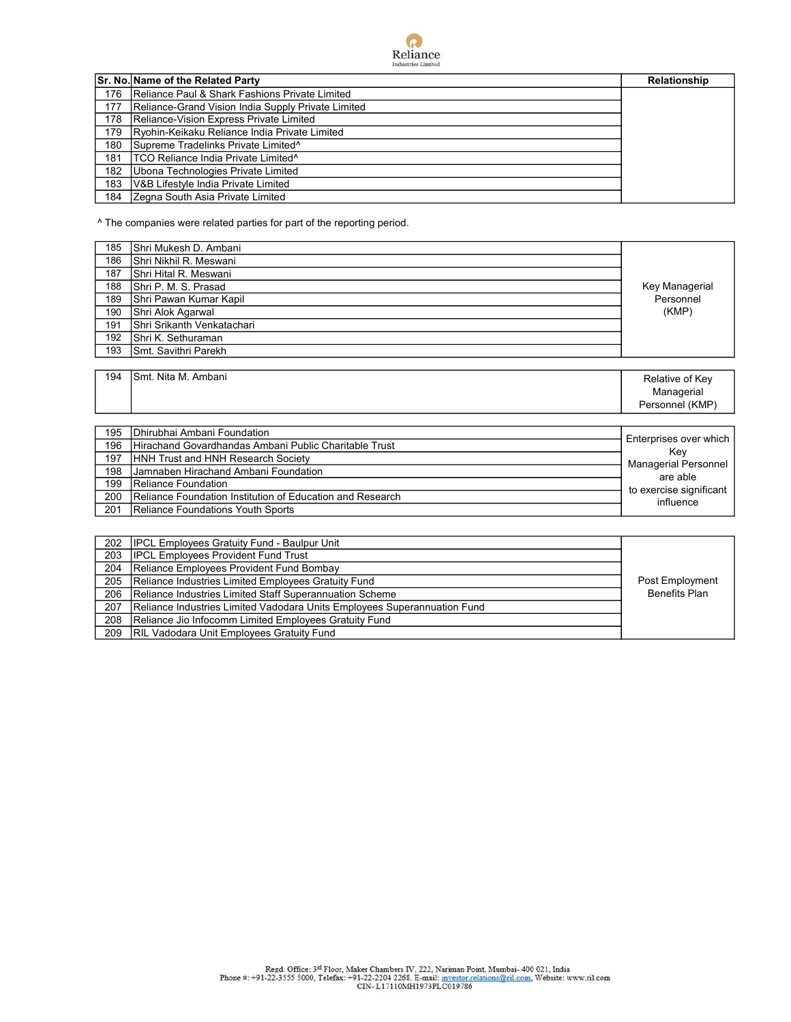

|     | Sr. No. Name of the Related Party                  | Relationship |
|-----|----------------------------------------------------|--------------|
| 176 | Reliance Paul & Shark Fashions Private Limited     |              |
| 177 | Reliance-Grand Vision India Supply Private Limited |              |
| 178 | Reliance-Vision Express Private Limited            |              |
| 179 | Ryohin-Keikaku Reliance India Private Limited      |              |
| 180 | Supreme Tradelinks Private Limited <sup>^</sup>    |              |
| 181 | TCO Reliance India Private Limited <sup>^</sup>    |              |
| 182 | Ubona Technologies Private Limited                 |              |
| 183 | V&B Lifestyle India Private Limited                |              |
| 184 | Zegna South Asia Private Limited                   |              |

^ The companies were related parties for part of the reporting period.

| 185 | Shri Mukesh D. Ambani      |                 |
|-----|----------------------------|-----------------|
| 186 | Shri Nikhil R. Meswani     |                 |
| 187 | lShri Hital R. Meswani     |                 |
| 188 | Shri P. M. S. Prasad       | Key Managerial  |
| 189 | Shri Pawan Kumar Kapil     | Personnel       |
| 190 | Shri Alok Agarwal          | (KMP)           |
| 191 | Shri Srikanth Venkatachari |                 |
| 192 | Shri K. Sethuraman         |                 |
| 193 | İSmt. Savithri Parekh      |                 |
|     |                            |                 |
| 194 | <b>Smt. Nita M. Ambani</b> | Relative of Key |

Personnel (KMP) 195 Dhirubhai Ambani Foundation 196 Hirachand Govardhandas Ambani Public Charitable Trust<br>197 HNH Trust and HNH Research Society HNH Trust and HNH Research Society 198 Jamnaben Hirachand Ambani Foundation 199 Reliance Foundation 200 Reliance Foundation Institution of Education and Research<br>201 Reliance Foundations Youth Sports Reliance Foundations Youth Sports Enterprises over which Key Managerial Personnel are able to exercise significant influence

Managerial

| 202 | <b>IPCL Employees Gratuity Fund - Baulpur Unit</b>                       |                      |
|-----|--------------------------------------------------------------------------|----------------------|
| 203 | <b>IPCL Employees Provident Fund Trust</b>                               |                      |
| 204 | Reliance Employees Provident Fund Bombay                                 |                      |
| 205 | Reliance Industries Limited Employees Gratuity Fund                      | Post Employment      |
| 206 | Reliance Industries Limited Staff Superannuation Scheme                  | <b>Benefits Plan</b> |
| 207 | Reliance Industries Limited Vadodara Units Employees Superannuation Fund |                      |
| 208 | Reliance Jio Infocomm Limited Employees Gratuity Fund                    |                      |
| 209 | <b>RIL Vadodara Unit Employees Gratuity Fund</b>                         |                      |